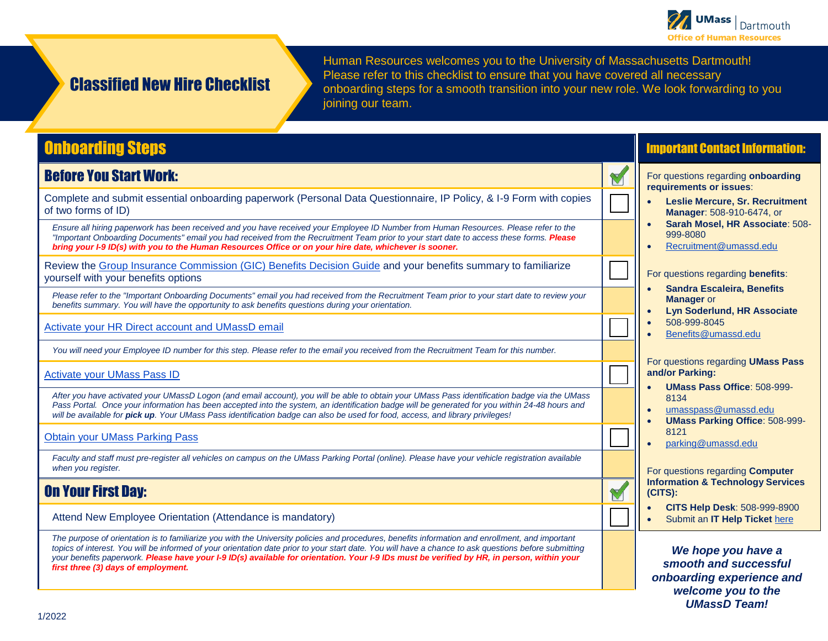

# Classified New Hire Checklist

Human Resources welcomes you to the University of Massachusetts Dartmouth! Please refer to this checklist to ensure that you have covered all necessary onboarding steps for a smooth transition into your new role. We look forwarding to you joining our team.

# Onboarding Steps

#### Before You Start Work:

Complete and submit essential onboarding paperwork (Personal Data Questionnaire, IP Policy, & I-9 Form with copies of two forms of ID) ☐

*Ensure all hiring paperwork has been received and you have received your Employee ID Number from Human Resources. Please refer to the "Important Onboarding Documents" email you had received from the Recruitment Team prior to your start date to access these forms. Please bring your I-9 ID(s) with you to the Human Resources Office or on your hire date, whichever is sooner.*

Review the <u>Group Insurance Commission (GIC) Benefits Decision Guide</u> and your benefits summary to familiarize<br>yourself with your benefits options

*Please refer to the "Important Onboarding Documents" email you had received from the Recruitment Team prior to your start date to review your benefits summary. You will have the opportunity to ask benefits questions during your orientation.*

[Activate your HR Direct account and UMassD email](https://www.umassd.edu/cits/passwords/)

*You will need your Employee ID number for this step. Please refer to the email you received from the Recruitment Team for this number.*

**[Activate your UMass Pass ID](https://umasspass.umassd.edu/)** 

*After you have activated your UMassD Logon (and email account), you will be able to obtain your UMass Pass identification badge via the UMass*  Pass Portal. Once your information has been accepted into the system, an identification badge will be generated for you within 24-48 hours and *will be available for pick up. Your UMass Pass identification badge can also be used for food, access, and library privileges!*

[Obtain your UMass Parking Pass](https://www.umassd.edu/parking/staff/)

*Faculty and staff must pre-register all vehicles on campus on the UMass Parking Portal (online). Please have your vehicle registration available when you register.*

#### On Your First Day:

Attend New Employee Orientation (Attendance is mandatory)

*The purpose of orientation is to familiarize you with the University policies and procedures, benefits information and enrollment, and important topics of interest. You will be informed of your orientation date prior to your start date. You will have a chance to ask questions before submitting your benefits paperwork. Please have your I-9 ID(s) available for orientation. Your I-9 IDs must be verified by HR, in person, within your first three (3) days of employment.*

#### Important Contact Information:

For questions regarding **onboarding requirements or issues**:

- **Leslie Mercure, Sr. Recruitment Manager**: 508-910-6474, or
- **Sarah Mosel, HR Associate**: 508- 999-8080
- [Recruitment@umassd.edu](mailto:Recruitment@umassd.edu)

For questions regarding **benefits**:

- **Sandra Escaleira, Benefits Manager** or
- **Lyn Soderlund, HR Associate** • 508-999-8045
- [Benefits@umassd.edu](mailto:Benefits@umassd.edu)

For questions regarding **UMass Pass and/or Parking:**

- **UMass Pass Office**: 508-999- 8134
- [umasspass@umassd.edu](mailto:umasspass@umassd.edu)
- **UMass Parking Office**: 508-999- 8121
- [parking@umassd.edu](mailto:parking@umassd.edu)

For questions regarding **Computer Information & Technology Services (CITS):**

- **CITS Help Desk**: 508-999-8900
- Submit an **IT Help Ticket** [here](mailto:ITHelp@umassd.edu)

*We hope you have a smooth and successful onboarding experience and welcome you to the UMassD Team!*